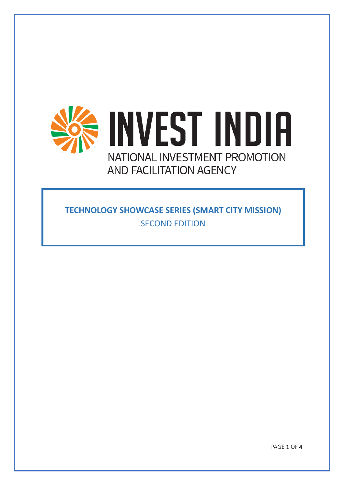

**TECHNOLOGY SHOWCASE SERIES (SMART CITY MISSION)** SECOND EDITION

PAGE 1 OF 4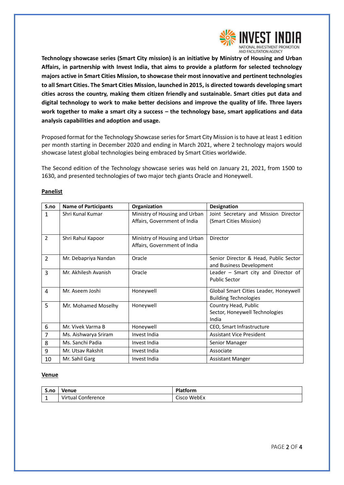

**Technology showcase series (Smart City mission) is an initiative by Ministry of Housing and Urban Affairs, in partnership with Invest India, that aims to provide a platform for selected technology majors active in Smart Cities Mission, to showcase their most innovative and pertinent technologies to all Smart Cities. The Smart Cities Mission, launched in 2015, is directed towards developing smart cities across the country, making them citizen friendly and sustainable. Smart cities put data and digital technology to work to make better decisions and improve the quality of life. Three layers work together to make a smart city a success – the technology base, smart applications and data analysis capabilities and adoption and usage.**

Proposed format for the Technology Showcase series for Smart City Mission is to have at least 1 edition per month starting in December 2020 and ending in March 2021, where 2 technology majors would showcase latest global technologies being embraced by Smart Cities worldwide.

The Second edition of the Technology showcase series was held on January 21, 2021, from 1500 to 1630, and presented technologies of two major tech giants Oracle and Honeywell.

| S.no           | <b>Name of Participants</b> | Organization                                                  | <b>Designation</b>                                                    |
|----------------|-----------------------------|---------------------------------------------------------------|-----------------------------------------------------------------------|
| 1              | Shri Kunal Kumar            | Ministry of Housing and Urban<br>Affairs, Government of India | Joint Secretary and Mission Director<br>(Smart Cities Mission)        |
| $\overline{2}$ | Shri Rahul Kapoor           | Ministry of Housing and Urban<br>Affairs, Government of India | Director                                                              |
| $\overline{2}$ | Mr. Debapriya Nandan        | Oracle                                                        | Senior Director & Head, Public Sector<br>and Business Development     |
| 3              | Mr. Akhilesh Avanish        | Oracle                                                        | Leader $-$ Smart city and Director of<br><b>Public Sector</b>         |
| $\overline{a}$ | Mr. Aseem Joshi             | Honeywell                                                     | Global Smart Cities Leader, Honeywell<br><b>Building Technologies</b> |
| 5              | Mr. Mohamed Moselhy         | Honeywell                                                     | Country Head, Public<br>Sector, Honeywell Technologies<br>India       |
| 6              | Mr. Vivek Varma B           | Honeywell                                                     | CEO, Smart Infrastructure                                             |
| $\overline{7}$ | Ms. Aishwarya Sriram        | Invest India                                                  | <b>Assistant Vice President</b>                                       |
| 8              | Ms. Sanchi Padia            | Invest India                                                  | Senior Manager                                                        |
| 9              | Mr. Utsav Rakshit           | Invest India                                                  | Associate                                                             |
| 10             | Mr. Sahil Garg              | Invest India                                                  | <b>Assistant Manger</b>                                               |

## **Panelist**

## **Venue**

| S.no | <b>Venue</b>       | <b>Platform</b> |
|------|--------------------|-----------------|
|      | Virtual Conference | Cisco WebEx     |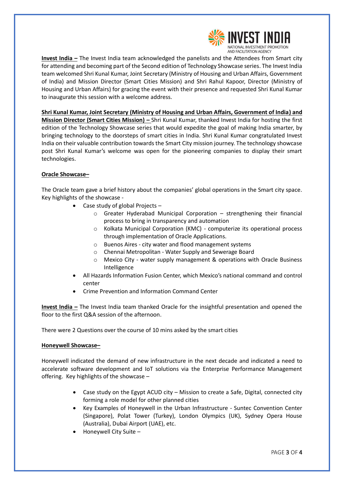

**Invest India –** The Invest India team acknowledged the panelists and the Attendees from Smart city for attending and becoming part of the Second edition of Technology Showcase series. The Invest India team welcomed Shri Kunal Kumar, Joint Secretary (Ministry of Housing and Urban Affairs, Government of India) and Mission Director (Smart Cities Mission) and Shri Rahul Kapoor, Director (Ministry of Housing and Urban Affairs) for gracing the event with their presence and requested Shri Kunal Kumar to inaugurate this session with a welcome address.

**Shri Kunal Kumar, Joint Secretary (Ministry of Housing and Urban Affairs, Government of India) and Mission Director (Smart Cities Mission) –** Shri Kunal Kumar, thanked Invest India for hosting the first edition of the Technology Showcase series that would expedite the goal of making India smarter, by bringing technology to the doorsteps of smart cities in India. Shri Kunal Kumar congratulated Invest India on their valuable contribution towards the Smart City mission journey. The technology showcase post Shri Kunal Kumar's welcome was open for the pioneering companies to display their smart technologies.

## **Oracle Showcase–**

The Oracle team gave a brief history about the companies' global operations in the Smart city space. Key highlights of the showcase -

- Case study of global Projects
	- o Greater Hyderabad Municipal Corporation strengthening their financial process to bring in transparency and automation
	- o Kolkata Municipal Corporation (KMC) computerize its operational process through implementation of Oracle Applications.
	- o Buenos Aires city water and flood management systems
	- o Chennai Metropolitan Water Supply and Sewerage Board
	- Mexico City water supply management & operations with Oracle Business Intelligence
- All Hazards Information Fusion Center, which Mexico's national command and control center
- Crime Prevention and Information Command Center

**Invest India –** The Invest India team thanked Oracle for the insightful presentation and opened the floor to the first Q&A session of the afternoon.

There were 2 Questions over the course of 10 mins asked by the smart cities

## **Honeywell Showcase–**

Honeywell indicated the demand of new infrastructure in the next decade and indicated a need to accelerate software development and IoT solutions via the Enterprise Performance Management offering. Key highlights of the showcase –

- Case study on the Egypt ACUD city Mission to create a Safe, Digital, connected city forming a role model for other planned cities
- Key Examples of Honeywell in the Urban Infrastructure Suntec Convention Center (Singapore), Polat Tower (Turkey), London Olympics (UK), Sydney Opera House (Australia), Dubai Airport (UAE), etc.
- Honeywell City Suite –